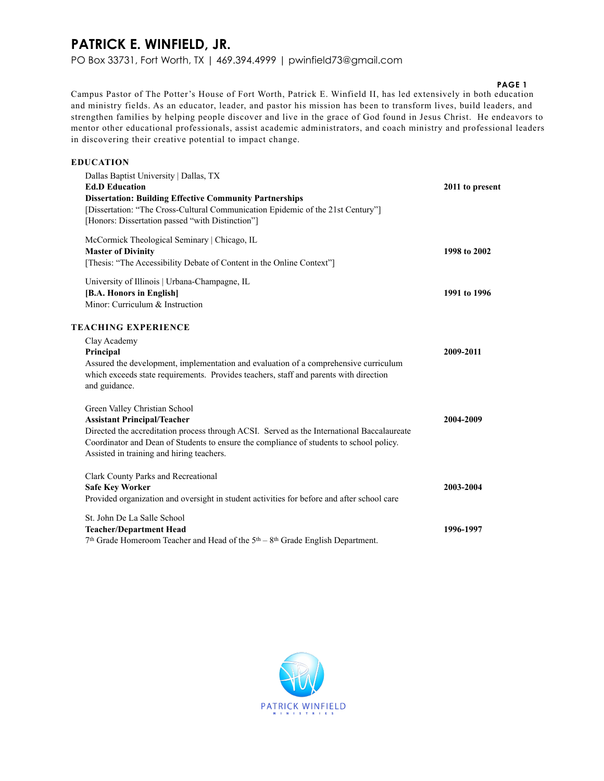### **PATRICK E. WINFIELD, JR.**

PO Box 33731, Fort Worth, TX | 469.394.4999 | pwinfield73@gmail.com

#### **PAGE 1**

Campus Pastor of The Potter's House of Fort Worth, Patrick E. Winfield II, has led extensively in both education and ministry fields. As an educator, leader, and pastor his mission has been to transform lives, build leaders, and strengthen families by helping people discover and live in the grace of God found in Jesus Christ. He endeavors to mentor other educational professionals, assist academic administrators, and coach ministry and professional leaders in discovering their creative potential to impact change.

| <b>EDUCATION</b>                                                                                                                                                                                                                                                                                          |                 |
|-----------------------------------------------------------------------------------------------------------------------------------------------------------------------------------------------------------------------------------------------------------------------------------------------------------|-----------------|
| Dallas Baptist University   Dallas, TX<br><b>Ed.D Education</b><br><b>Dissertation: Building Effective Community Partnerships</b><br>[Dissertation: "The Cross-Cultural Communication Epidemic of the 21st Century"]<br>[Honors: Dissertation passed "with Distinction"]                                  | 2011 to present |
| McCormick Theological Seminary   Chicago, IL<br><b>Master of Divinity</b><br>[Thesis: "The Accessibility Debate of Content in the Online Context"]                                                                                                                                                        | 1998 to 2002    |
| University of Illinois   Urbana-Champagne, IL<br>[B.A. Honors in English]<br>Minor: Curriculum & Instruction                                                                                                                                                                                              | 1991 to 1996    |
| <b>TEACHING EXPERIENCE</b><br>Clay Academy<br>Principal<br>Assured the development, implementation and evaluation of a comprehensive curriculum<br>which exceeds state requirements. Provides teachers, staff and parents with direction<br>and guidance.                                                 | 2009-2011       |
| Green Valley Christian School<br><b>Assistant Principal/Teacher</b><br>Directed the accreditation process through ACSI. Served as the International Baccalaureate<br>Coordinator and Dean of Students to ensure the compliance of students to school policy.<br>Assisted in training and hiring teachers. | 2004-2009       |
| Clark County Parks and Recreational<br><b>Safe Key Worker</b><br>Provided organization and oversight in student activities for before and after school care                                                                                                                                               | 2003-2004       |
| St. John De La Salle School<br><b>Teacher/Department Head</b><br>7 <sup>th</sup> Grade Homeroom Teacher and Head of the 5 <sup>th</sup> – 8 <sup>th</sup> Grade English Department.                                                                                                                       | 1996-1997       |

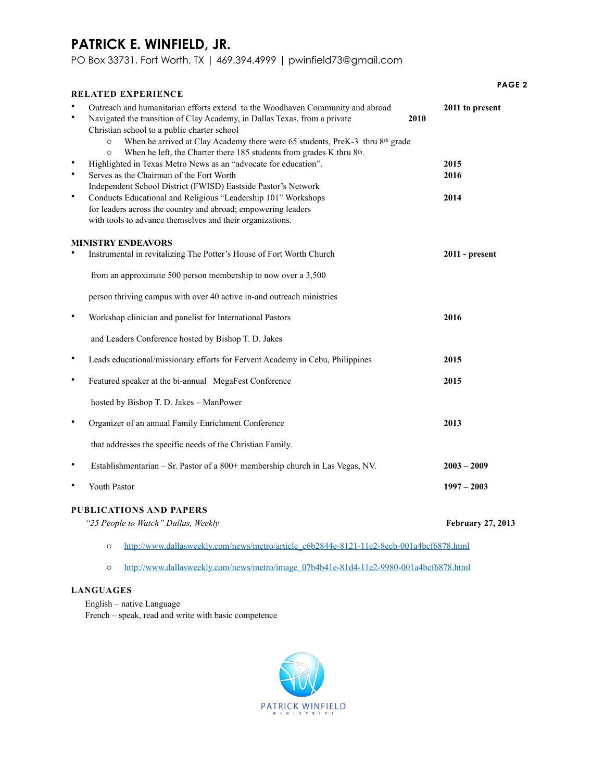## **PATRICK E. WINFIELD, JR.**

PO Box 33731, Fort Worth, TX | 469.394.4999 | pwinfield73@gmail.com

| <b>RELATED EXPERIENCE</b>                                                                                                                                                                                                                                                                                                                                                                                                                                                                                                                                                                                                                                                                                                                                                                                                    | PAGE <sub>2</sub>                               |
|------------------------------------------------------------------------------------------------------------------------------------------------------------------------------------------------------------------------------------------------------------------------------------------------------------------------------------------------------------------------------------------------------------------------------------------------------------------------------------------------------------------------------------------------------------------------------------------------------------------------------------------------------------------------------------------------------------------------------------------------------------------------------------------------------------------------------|-------------------------------------------------|
| Outreach and humanitarian efforts extend to the Woodhaven Community and abroad<br>$\bullet$<br>Navigated the transition of Clay Academy, in Dallas Texas, from a private<br>Christian school to a public charter school<br>When he arrived at Clay Academy there were 65 students, PreK-3 thru 8th grade<br>$\circ$<br>When he left, the Charter there 185 students from grades K thru 8th.<br>$\circ$<br>Highlighted in Texas Metro News as an "advocate for education".<br>$\bullet$<br>$\bullet$<br>Serves as the Chairman of the Fort Worth<br>Independent School District (FWISD) Eastside Pastor's Network<br>$\bullet$<br>Conducts Educational and Religious "Leadership 101" Workshops<br>for leaders across the country and abroad; empowering leaders<br>with tools to advance themselves and their organizations. | 2011 to present<br>2010<br>2015<br>2016<br>2014 |
| <b>MINISTRY ENDEAVORS</b>                                                                                                                                                                                                                                                                                                                                                                                                                                                                                                                                                                                                                                                                                                                                                                                                    |                                                 |
| $\bullet$<br>Instrumental in revitalizing The Potter's House of Fort Worth Church                                                                                                                                                                                                                                                                                                                                                                                                                                                                                                                                                                                                                                                                                                                                            | $2011$ - present                                |
| from an approximate 500 person membership to now over a 3,500                                                                                                                                                                                                                                                                                                                                                                                                                                                                                                                                                                                                                                                                                                                                                                |                                                 |
| person thriving campus with over 40 active in-and outreach ministries                                                                                                                                                                                                                                                                                                                                                                                                                                                                                                                                                                                                                                                                                                                                                        |                                                 |
| $\bullet$<br>Workshop clinician and panelist for International Pastors                                                                                                                                                                                                                                                                                                                                                                                                                                                                                                                                                                                                                                                                                                                                                       | 2016                                            |
| and Leaders Conference hosted by Bishop T. D. Jakes                                                                                                                                                                                                                                                                                                                                                                                                                                                                                                                                                                                                                                                                                                                                                                          |                                                 |
| ٠<br>Leads educational/missionary efforts for Fervent Academy in Cebu, Philippines                                                                                                                                                                                                                                                                                                                                                                                                                                                                                                                                                                                                                                                                                                                                           | 2015                                            |
| $\bullet$<br>Featured speaker at the bi-annual MegaFest Conference                                                                                                                                                                                                                                                                                                                                                                                                                                                                                                                                                                                                                                                                                                                                                           | 2015                                            |
| hosted by Bishop T. D. Jakes - ManPower                                                                                                                                                                                                                                                                                                                                                                                                                                                                                                                                                                                                                                                                                                                                                                                      |                                                 |
| ٠<br>Organizer of an annual Family Enrichment Conference                                                                                                                                                                                                                                                                                                                                                                                                                                                                                                                                                                                                                                                                                                                                                                     | 2013                                            |
| that addresses the specific needs of the Christian Family.                                                                                                                                                                                                                                                                                                                                                                                                                                                                                                                                                                                                                                                                                                                                                                   |                                                 |
| ٠<br>Establishmentarian – Sr. Pastor of a 800+ membership church in Las Vegas, NV.                                                                                                                                                                                                                                                                                                                                                                                                                                                                                                                                                                                                                                                                                                                                           | $2003 - 2009$                                   |
| Youth Pastor<br>$\bullet$                                                                                                                                                                                                                                                                                                                                                                                                                                                                                                                                                                                                                                                                                                                                                                                                    | $1997 - 2003$                                   |
| <b>PUBLICATIONS AND PAPERS</b>                                                                                                                                                                                                                                                                                                                                                                                                                                                                                                                                                                                                                                                                                                                                                                                               |                                                 |
| "25 People to Watch" Dallas, Weekly                                                                                                                                                                                                                                                                                                                                                                                                                                                                                                                                                                                                                                                                                                                                                                                          | <b>February 27, 2013</b>                        |
| http://www.dallasweekly.com/news/metro/article_c6b2844e-8121-11e2-8ecb-001a4bcf6878.html<br>$\circ$                                                                                                                                                                                                                                                                                                                                                                                                                                                                                                                                                                                                                                                                                                                          |                                                 |
| http://www.dallasweekly.com/news/metro/image_07b4b41e-81d4-11e2-9980-001a4bcf6878.html<br>$\circ$                                                                                                                                                                                                                                                                                                                                                                                                                                                                                                                                                                                                                                                                                                                            |                                                 |

### **LANGUAGES**

English – native Language French – speak, read and write with basic competence